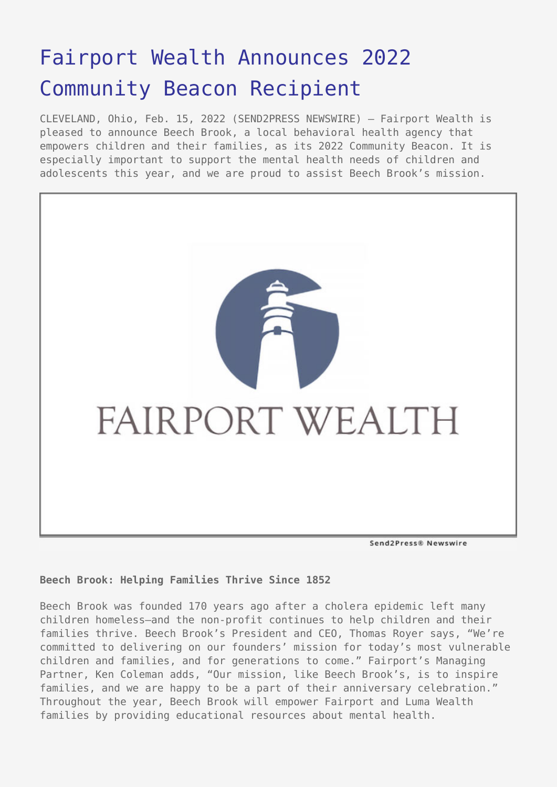# [Fairport Wealth Announces 2022](https://www.send2press.com/wire/fairport-wealth-announces-2022-community-beacon-recipient/) [Community Beacon Recipient](https://www.send2press.com/wire/fairport-wealth-announces-2022-community-beacon-recipient/)

CLEVELAND, Ohio, Feb. 15, 2022 (SEND2PRESS NEWSWIRE) — Fairport Wealth is pleased to announce Beech Brook, a local behavioral health agency that empowers children and their families, as its 2022 Community Beacon. It is especially important to support the mental health needs of children and adolescents this year, and we are proud to assist Beech Brook's mission.



## **Beech Brook: Helping Families Thrive Since 1852**

Beech Brook was founded 170 years ago after a cholera epidemic left many children homeless—and the non-profit continues to help children and their families thrive. Beech Brook's President and CEO, Thomas Royer says, "We're committed to delivering on our founders' mission for today's most vulnerable children and families, and for generations to come." Fairport's Managing Partner, Ken Coleman adds, "Our mission, like Beech Brook's, is to inspire families, and we are happy to be a part of their anniversary celebration." Throughout the year, Beech Brook will empower Fairport and Luma Wealth families by providing educational resources about mental health.